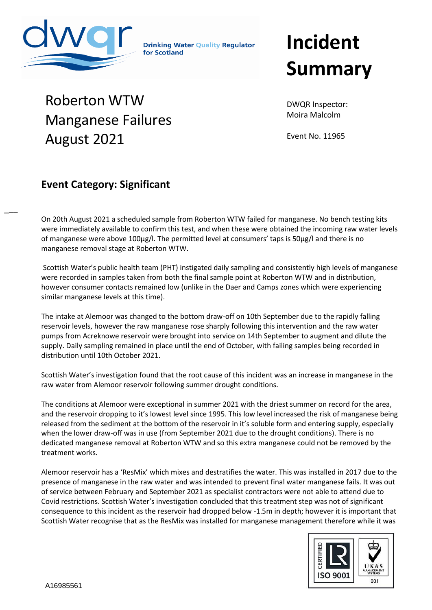

Roberton WTW

August 2021

 $\overline{\phantom{a}}$ 

**Drinking Water Ouality Regulator** for Scotland

## **Incident Summary**

DWQR Inspector: Moira Malcolm

Event No. 11965

## **Event Category: Significant**

Manganese Failures

On 20th August 2021 a scheduled sample from Roberton WTW failed for manganese. No bench testing kits were immediately available to confirm this test, and when these were obtained the incoming raw water levels and<br>of mengeness were above 100 vall. The negratited lavel at sensumers' tens is FO vall and there is ne of manganese were above 100µg/l. The permitted level at consumers' taps is 50µg/l and there is no manganese removal stage at Roberton WTW.

Scottish Water's public health team (PHT) instigated daily sampling and consistently high levels of manganese were recorded in samples taken from both the final sample point at Roberton WTW and in distribution, however consumer contacts remained low (unlike in the Daer and Camps zones which were experiencing similar manganese levels at this time).

The intake at Alemoor was changed to the bottom draw-off on 10th September due to the rapidly falling reservoir levels, however the raw manganese rose sharply following this intervention and the raw water pumps from Acreknowe reservoir were brought into service on 14th September to augment and dilute the supply. Daily sampling remained in place until the end of October, with failing samples being recorded in distribution until 10th October 2021.

Scottish Water's investigation found that the root cause of this incident was an increase in manganese in the raw water from Alemoor reservoir following summer drought conditions.

The conditions at Alemoor were exceptional in summer 2021 with the driest summer on record for the area, and the reservoir dropping to it's lowest level since 1995. This low level increased the risk of manganese being released from the sediment at the bottom of the reservoir in it's soluble form and entering supply, especially when the lower draw-off was in use (from September 2021 due to the drought conditions). There is no dedicated manganese removal at Roberton WTW and so this extra manganese could not be removed by the treatment works.

Alemoor reservoir has a 'ResMix' which mixes and destratifies the water. This was installed in 2017 due to the presence of manganese in the raw water and was intended to prevent final water manganese fails. It was out of service between February and September 2021 as specialist contractors were not able to attend due to Covid restrictions. Scottish Water's investigation concluded that this treatment step was not of significant consequence to this incident as the reservoir had dropped below -1.5m in depth; however it is important that Scottish Water recognise that as the ResMix was installed for manganese management therefore while it was